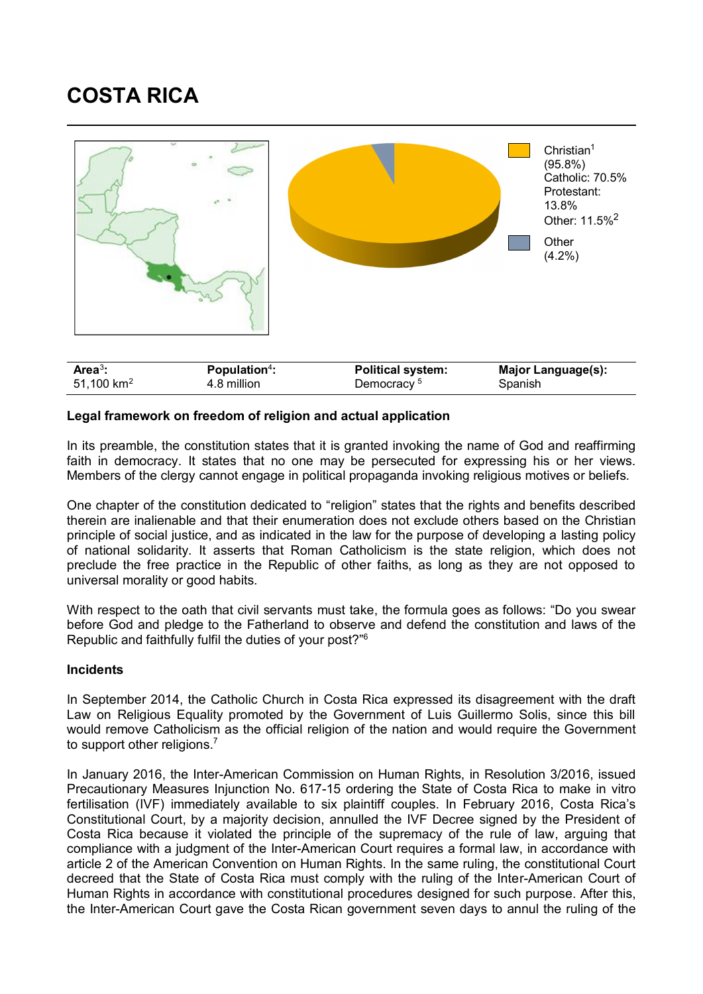## **COSTA RICA**



## **Legal framework on freedom of religion and actual application**

In its preamble, the constitution states that it is granted invoking the name of God and reaffirming faith in democracy. It states that no one may be persecuted for expressing his or her views. Members of the clergy cannot engage in political propaganda invoking religious motives or beliefs.

One chapter of the constitution dedicated to "religion" states that the rights and benefits described therein are inalienable and that their enumeration does not exclude others based on the Christian principle of social justice, and as indicated in the law for the purpose of developing a lasting policy of national solidarity. It asserts that Roman Catholicism is the state religion, which does not preclude the free practice in the Republic of other faiths, as long as they are not opposed to universal morality or good habits.

With respect to the oath that civil servants must take, the formula goes as follows: "Do you swear before God and pledge to the Fatherland to observe and defend the constitution and laws of the Republic and faithfully fulfil the duties of your post?" 6

## **Incidents**

In September 2014, the Catholic Church in Costa Rica expressed its disagreement with the draft Law on Religious Equality promoted by the Government of Luis Guillermo Solis, since this bill would remove Catholicism as the official religion of the nation and would require the Government to support other religions.<sup>7</sup>

In January 2016, the Inter-American Commission on Human Rights, in Resolution 3/2016, issued Precautionary Measures Injunction No. 617-15 ordering the State of Costa Rica to make in vitro fertilisation (IVF) immediately available to six plaintiff couples. In February 2016, Costa Rica's Constitutional Court, by a majority decision, annulled the IVF Decree signed by the President of Costa Rica because it violated the principle of the supremacy of the rule of law, arguing that compliance with a judgment of the Inter-American Court requires a formal law, in accordance with article 2 of the American Convention on Human Rights. In the same ruling, the constitutional Court decreed that the State of Costa Rica must comply with the ruling of the Inter-American Court of Human Rights in accordance with constitutional procedures designed for such purpose. After this, the Inter-American Court gave the Costa Rican government seven days to annul the ruling of the